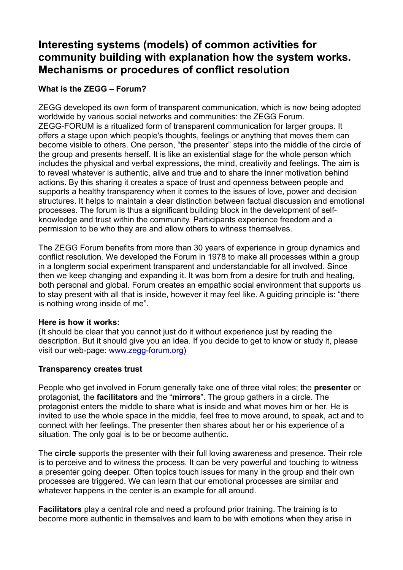# **Interesting systems (models) of common activities for community building with explanation how the system works. Mechanisms or procedures of conflict resolution**

## **What is the ZEGG – Forum?**

ZEGG developed its own form of transparent communication, which is now being adopted worldwide by various social networks and communities: the ZEGG Forum. ZEGG-FORUM is a ritualized form of transparent communication for larger groups. It offers a stage upon which people's thoughts, feelings or anything that moves them can become visible to others. One person, "the presenter" steps into the middle of the circle of the group and presents herself. It is like an existential stage for the whole person which includes the physical and verbal expressions, the mind, creativity and feelings. The aim is to reveal whatever is authentic, alive and true and to share the inner motivation behind actions. By this sharing it creates a space of trust and openness between people and supports a healthy transparency when it comes to the issues of love, power and decision structures. It helps to maintain a clear distinction between factual discussion and emotional processes. The forum is thus a significant building block in the development of selfknowledge and trust within the community. Participants experience freedom and a permission to be who they are and allow others to witness themselves.

The ZEGG Forum benefits from more than 30 years of experience in group dynamics and conflict resolution. We developed the Forum in 1978 to make all processes within a group in a longterm social experiment transparent and understandable for all involved. Since then we keep changing and expanding it. It was born from a desire for truth and healing, both personal and global. Forum creates an empathic social environment that supports us to stay present with all that is inside, however it may feel like. A guiding principle is: "there is nothing wrong inside of me".

## **Here is how it works:**

(It should be clear that you cannot just do it without experience just by reading the description. But it should give you an idea. If you decide to get to know or study it, please visit our web-page: [www.zegg-forum.org\)](http://www.zegg-forum.org/)

## **Transparency creates trust**

People who get involved in Forum generally take one of three vital roles; the **presenter** or protagonist, the **facilitators** and the "**mirrors**". The group gathers in a circle. The protagonist enters the middle to share what is inside and what moves him or her. He is invited to use the whole space in the middle, feel free to move around, to speak, act and to connect with her feelings. The presenter then shares about her or his experience of a situation. The only goal is to be or become authentic.

The **circle** supports the presenter with their full loving awareness and presence. Their role is to perceive and to witness the process. It can be very powerful and touching to witness a presenter going deeper. Often topics touch issues for many in the group and their own processes are triggered. We can learn that our emotional processes are similar and whatever happens in the center is an example for all around.

**Facilitators** play a central role and need a profound prior training. The training is to become more authentic in themselves and learn to be with emotions when they arise in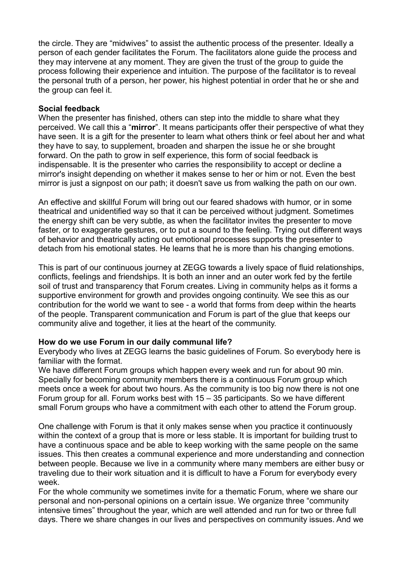the circle. They are "midwives" to assist the authentic process of the presenter. Ideally a person of each gender facilitates the Forum. The facilitators alone guide the process and they may intervene at any moment. They are given the trust of the group to guide the process following their experience and intuition. The purpose of the facilitator is to reveal the personal truth of a person, her power, his highest potential in order that he or she and the group can feel it.

#### **Social feedback**

When the presenter has finished, others can step into the middle to share what they perceived. We call this a "**mirror**". It means participants offer their perspective of what they have seen. It is a gift for the presenter to learn what others think or feel about her and what they have to say, to supplement, broaden and sharpen the issue he or she brought forward. On the path to grow in self experience, this form of social feedback is indispensable. It is the presenter who carries the responsibility to accept or decline a mirror's insight depending on whether it makes sense to her or him or not. Even the best mirror is just a signpost on our path; it doesn't save us from walking the path on our own.

An effective and skillful Forum will bring out our feared shadows with humor, or in some theatrical and unidentified way so that it can be perceived without judgment. Sometimes the energy shift can be very subtle, as when the facilitator invites the presenter to move faster, or to exaggerate gestures, or to put a sound to the feeling. Trying out different ways of behavior and theatrically acting out emotional processes supports the presenter to detach from his emotional states. He learns that he is more than his changing emotions.

This is part of our continuous journey at ZEGG towards a lively space of fluid relationships, conflicts, feelings and friendships. It is both an inner and an outer work fed by the fertile soil of trust and transparency that Forum creates. Living in community helps as it forms a supportive environment for growth and provides ongoing continuity. We see this as our contribution for the world we want to see - a world that forms from deep within the hearts of the people. Transparent communication and Forum is part of the glue that keeps our community alive and together, it lies at the heart of the community.

#### **How do we use Forum in our daily communal life?**

Everybody who lives at ZEGG learns the basic guidelines of Forum. So everybody here is familiar with the format.

We have different Forum groups which happen every week and run for about 90 min. Specially for becoming community members there is a continuous Forum group which meets once a week for about two hours. As the community is too big now there is not one Forum group for all. Forum works best with 15 – 35 participants. So we have different small Forum groups who have a commitment with each other to attend the Forum group.

One challenge with Forum is that it only makes sense when you practice it continuously within the context of a group that is more or less stable. It is important for building trust to have a continuous space and be able to keep working with the same people on the same issues. This then creates a communal experience and more understanding and connection between people. Because we live in a community where many members are either busy or traveling due to their work situation and it is difficult to have a Forum for everybody every week.

For the whole community we sometimes invite for a thematic Forum, where we share our personal and non-personal opinions on a certain issue. We organize three "community intensive times" throughout the year, which are well attended and run for two or three full days. There we share changes in our lives and perspectives on community issues. And we